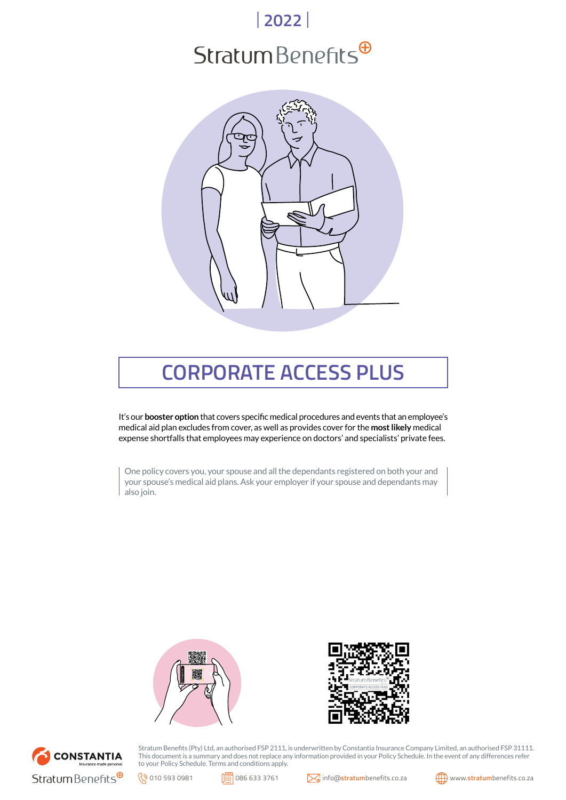# | **2022** |  $Stratum Benefits<sup>④</sup>$



## **CORPORATE ACCESS PLUS**

It's our **booster option** that covers specific medical procedures and events that an employee's medical aid plan excludes from cover, as well as provides cover for the **most likely** medical expense shortfalls that employees may experience on doctors' and specialists' private fees.

One policy covers you, your spouse and all the dependants registered on both your and your spouse's medical aid plans. Ask your employer if your spouse and dependants may also join.







Stratum Benefits (Pty) Ltd, an authorised FSP 2111, is underwritten by Constantia Insurance Company Limited, an authorised FSP 31111. This document is a summary and does not replace any information provided in your Policy Schedule. In the event of any differences refer to your Policy Schedule. Terms and conditions apply.



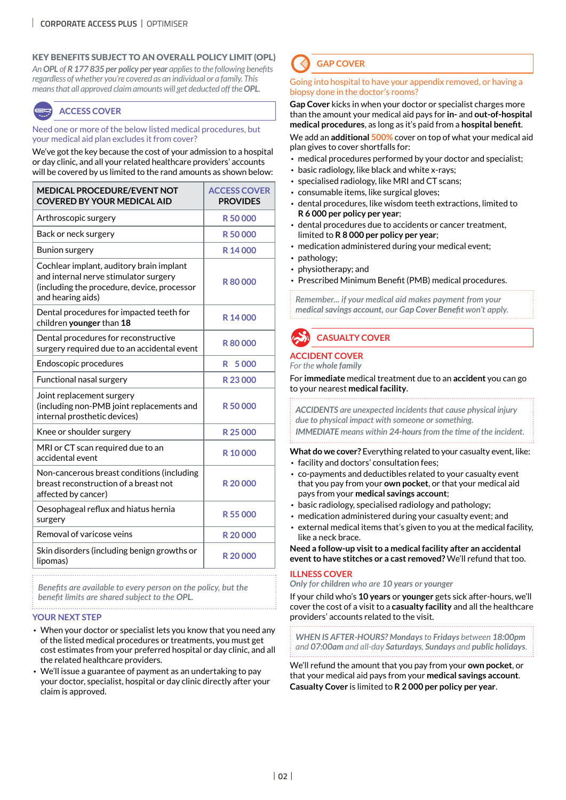#### KEY BENEFITS SUBJECT TO AN OVERALL POLICY LIMIT (OPL)

*An OPL of R 177 835 per policy per year applies to the following benefits regardless of whether you're covered as an individual or a family. This means that all approved claim amounts will get deducted off the OPL.*

#### **ACCESS COVER**

Need one or more of the below listed medical procedures, but your medical aid plan excludes it from cover?

We've got the key because the cost of your admission to a hospital or day clinic, and all your related healthcare providers' accounts will be covered by us limited to the rand amounts as shown below:

| <b>MEDICAL PROCEDURE/EVENT NOT</b><br><b>COVERED BY YOUR MEDICAL AID</b>                                                                              | <b>ACCESS COVER</b><br><b>PROVIDES</b> |
|-------------------------------------------------------------------------------------------------------------------------------------------------------|----------------------------------------|
| Arthroscopic surgery                                                                                                                                  | R50000                                 |
| Back or neck surgery                                                                                                                                  | R50000                                 |
| <b>Bunion surgery</b>                                                                                                                                 | R14000                                 |
| Cochlear implant, auditory brain implant<br>and internal nerve stimulator surgery<br>(including the procedure, device, processor<br>and hearing aids) | R80000                                 |
| Dental procedures for impacted teeth for<br>children younger than 18                                                                                  | R14000                                 |
| Dental procedures for reconstructive<br>surgery required due to an accidental event                                                                   | R80000                                 |
| Endoscopic procedures                                                                                                                                 | 5000<br>R                              |
| Functional nasal surgery                                                                                                                              | R 23000                                |
| Joint replacement surgery<br>(including non-PMB joint replacements and<br>internal prosthetic devices)                                                | R50000                                 |
| Knee or shoulder surgery                                                                                                                              | R 25 000                               |
| MRI or CT scan required due to an<br>accidental event                                                                                                 | R 10000                                |
| Non-cancerous breast conditions (including<br>breast reconstruction of a breast not<br>affected by cancer)                                            | R 20000                                |
| Oesophageal reflux and hiatus hernia<br>surgery                                                                                                       | R55000                                 |
| Removal of varicose veins                                                                                                                             | R 20 000                               |
| Skin disorders (including benign growths or<br>lipomas)                                                                                               | R 20000                                |

*Benefits are available to every person on the policy, but the benefit limits are shared subject to the OPL.*

#### **YOUR NEXT STEP**

- When your doctor or specialist lets you know that you need any of the listed medical procedures or treatments, you must get cost estimates from your preferred hospital or day clinic, and all the related healthcare providers.
- We'll issue a guarantee of payment as an undertaking to pay your doctor, specialist, hospital or day clinic directly after your claim is approved.

## **GAP COVER**

#### Going into hospital to have your appendix removed, or having a biopsy done in the doctor's rooms?

**Gap Cover** kicks in when your doctor or specialist charges more than the amount your medical aid pays for **in-** and **out-of-hospital medical procedures**, as long as it's paid from a **hospital benefit**.

We add an **additional 500%** cover on top of what your medical aid plan gives to cover shortfalls for:

- medical procedures performed by your doctor and specialist;
- basic radiology, like black and white x-rays;
- specialised radiology, like MRI and CT scans;
- consumable items, like surgical gloves;
- dental procedures, like wisdom teeth extractions, limited to **R 6 000 per policy per year**;
- dental procedures due to accidents or cancer treatment, limited to **R 8 000 per policy per year**;
- medication administered during your medical event;
- pathology;
- physiotherapy; and
- Prescribed Minimum Benefit (PMB) medical procedures.

*Remember... if your medical aid makes payment from your medical savings account, our Gap Cover Benefit won't apply.*

## **CASUALTY COVER**

#### **ACCIDENT COVER**

*For the whole family*

For **immediate** medical treatment due to an **accident** you can go to your nearest **medical facility**.

*ACCIDENTS are unexpected incidents that cause physical injury due to physical impact with someone or something.*

*IMMEDIATE means within 24-hours from the time of the incident.*

**What do we cover?** Everything related to your casualty event, like:

- facility and doctors' consultation fees;
- co-payments and deductibles related to your casualty event that you pay from your **own pocket**, or that your medical aid pays from your **medical savings account**;
- basic radiology, specialised radiology and pathology;
- medication administered during your casualty event; and
- external medical items that's given to you at the medical facility, like a neck brace.

**Need a follow-up visit to a medical facility after an accidental event to have stitches or a cast removed?** We'll refund that too.

#### **ILLNESS COVER**

*Only for children who are 10 years or younger*

If your child who's **10 years** or **younger** gets sick after-hours, we'll cover the cost of a visit to a **casualty facility** and all the healthcare providers' accounts related to the visit.

*WHEN IS AFTER-HOURS? Mondays to Fridays between 18:00pm and 07:00am and all-day Saturdays, Sundays and public holidays*.

We'll refund the amount that you pay from your **own pocket**, or that your medical aid pays from your **medical savings account**. **Casualty Cover** is limited to **R 2 000 per policy per year**.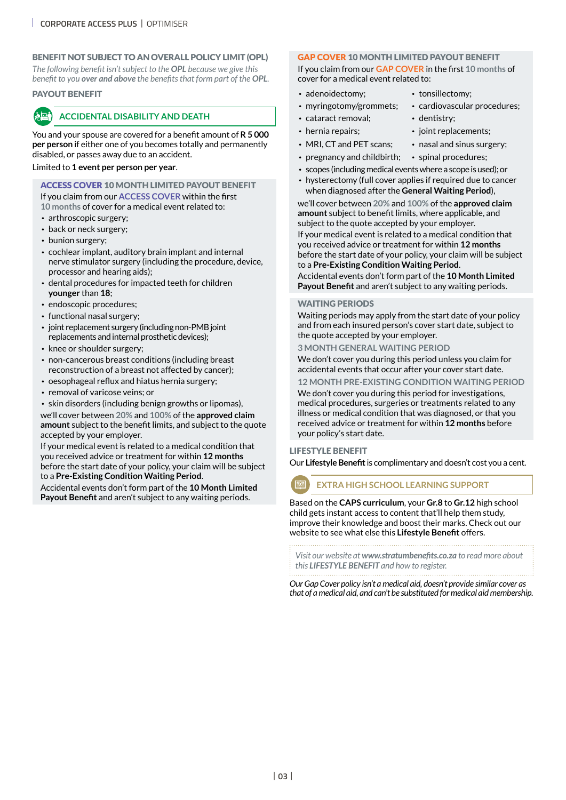#### BENEFIT NOT SUBJECT TO AN OVERALL POLICY LIMIT (OPL)

*The following benefit isn't subject to the OPL because we give this benefit to you over and above the benefits that form part of the OPL.*

#### PAYOUT BENEFIT

#### **ACCIDENTAL DISABILITY AND DEATH**

You and your spouse are covered for a benefit amount of **R 5 000 per person** if either one of you becomes totally and permanently disabled, or passes away due to an accident.

#### Limited to **1 event per person per year**.

#### ACCESS COVER 10 MONTH LIMITED PAYOUT BENEFIT If you claim from our **ACCESS COVER** within the first

- **10 months** of cover for a medical event related to:
- arthroscopic surgery;
- back or neck surgery;
- bunion surgery;
- cochlear implant, auditory brain implant and internal nerve stimulator surgery (including the procedure, device, processor and hearing aids);
- dental procedures for impacted teeth for children **younger** than **18**;
- endoscopic procedures;
- functional nasal surgery;
- joint replacement surgery (including non-PMB joint replacements and internal prosthetic devices);
- knee or shoulder surgery;
- non-cancerous breast conditions (including breast reconstruction of a breast not affected by cancer);
- oesophageal reflux and hiatus hernia surgery;
- removal of varicose veins; or

• skin disorders (including benign growths or lipomas), we'll cover between **20%** and **100%** of the **approved claim amount** subject to the benefit limits, and subject to the quote accepted by your employer.

If your medical event is related to a medical condition that you received advice or treatment for within **12 months** before the start date of your policy, your claim will be subject to a **Pre-Existing Condition Waiting Period**.

Accidental events don't form part of the **10 Month Limited Payout Benefit** and aren't subject to any waiting periods.

#### GAP COVER 10 MONTH LIMITED PAYOUT BENEFIT If you claim from our **GAP COVER** in the first **10 months** of cover for a medical event related to:

- adenoidectomy: tonsillectomy:
- myringotomy/grommets; cardiovascular procedures;
- cataract removal; dentistry;
- hernia repairs; ioint replacements;
- MRI, CT and PET scans; nasal and sinus surgery;
- 
- pregnancy and childbirth; spinal procedures;
- scopes (including medical events where a scope is used); or • hysterectomy (full cover applies if required due to cancer when diagnosed after the **General Waiting Period**),

we'll cover between **20%** and **100%** of the **approved claim amount** subject to benefit limits, where applicable, and subject to the quote accepted by your employer. If your medical event is related to a medical condition that you received advice or treatment for within **12 months** before the start date of your policy, your claim will be subject to a **Pre-Existing Condition Waiting Period**. Accidental events don't form part of the **10 Month Limited Payout Benefit** and aren't subject to any waiting periods.

#### WAITING PERIODS

Waiting periods may apply from the start date of your policy and from each insured person's cover start date, subject to the quote accepted by your employer.

**3 MONTH GENERAL WAITING PERIOD**

We don't cover you during this period unless you claim for accidental events that occur after your cover start date.

**12 MONTH PRE-EXISTING CONDITION WAITING PERIOD**

We don't cover you during this period for investigations, medical procedures, surgeries or treatments related to any illness or medical condition that was diagnosed, or that you received advice or treatment for within **12 months** before your policy's start date.

#### LIFESTYLE BENEFIT

Our **Lifestyle Benefit** is complimentary and doesn't cost you a cent.

## **EXTRA HIGH SCHOOL LEARNING SUPPORT**

Based on the **CAPS curriculum**, your **Gr.8** to **Gr.12** high school child gets instant access to content that'll help them study, improve their knowledge and boost their marks. Check out our website to see what else this **Lifestyle Benefit** offers.

*Visit our website at www.stratumbenefits.co.za to read more about this LIFESTYLE BENEFIT and how to register.*

*Our Gap Cover policy isn't a medical aid, doesn't provide similar cover as that of a medical aid, and can't be substituted for medical aid membership.*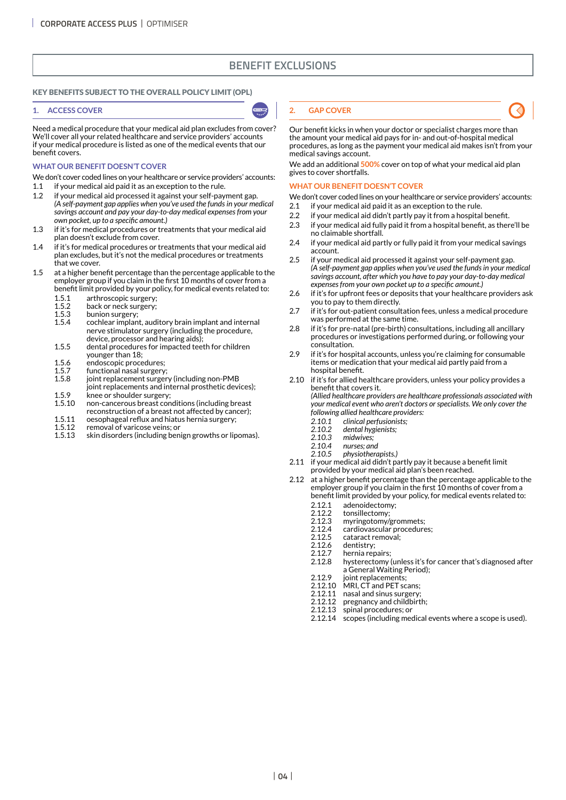## **BENEFIT EXCLUSIONS**

#### KEY BENEFITS SUBJECT TO THE OVERALL POLICY LIMIT (OPL)

#### **1. ACCESS COVER**

Need a medical procedure that your medical aid plan excludes from cover? We'll cover all your related healthcare and service providers' accounts if your medical procedure is listed as one of the medical events that our benefit covers.

#### **WHAT OUR BENEFIT DOESN'T COVER**

We don't cover coded lines on your healthcare or service providers' accounts:

- 1.1 if your medical aid paid it as an exception to the rule. 1.2 if your medical aid processed it against your self-payment gap. *(A self-payment gap applies when you've used the funds in your medical savings account and pay your day-to-day medical expenses from your*
- *own pocket, up to a specific amount.)* 1.3 if it's for medical procedures or treatments that your medical aid plan doesn't exclude from cover.
- 1.4 if it's for medical procedures or treatments that your medical aid plan excludes, but it's not the medical procedures or treatments that we cover.
- 1.5 at a higher benefit percentage than the percentage applicable to the employer group if you claim in the first 10 months of cover from a benefit limit provided by your policy, for medical events related to:
	-
	- 1.5.1 arthroscopic surgery;<br>1.5.2 back or neck surgery;  $1.5.2$  back or neck surgery;<br> $1.5.3$  bunion surgery;
	- 1.5.3 bunion surgery;<br>1.5.4 cochlear implan
	- cochlear implant, auditory brain implant and internal nerve stimulator surgery (including the procedure, device, processor and hearing aids);
	- 1.5.5 dental procedures for impacted teeth for children younger than 18;
	- 1.5.6 endoscopic procedures;<br>1.5.7 functional nasal surgery
	- 1.5.7 functional nasal surgery;<br>1.5.8 joint replacement surger
	- joint replacement surgery (including non-PMB joint replacements and internal prosthetic devices); 1.5.9 knee or shoulder surgery;
	- 1.5.10 non-cancerous breast conditions (including breast reconstruction of a breast not affected by cancer);
	- 1.5.11 oesophageal reflux and hiatus hernia surgery;
	- 1.5.12 removal of varicose veins; or<br>1.5.13 skin disorders (including ben
	- skin disorders (including benign growths or lipomas).

#### **2. GAP COVER**

Our benefit kicks in when your doctor or specialist charges more than the amount your medical aid pays for in- and out-of-hospital medical procedures, as long as the payment your medical aid makes isn't from your medical savings account.

We add an additional **500%** cover on top of what your medical aid plan gives to cover shortfalls.

#### **WHAT OUR BENEFIT DOESN'T COVER**

- We don't cover coded lines on your healthcare or service providers' accounts:
- 2.1 if your medical aid paid it as an exception to the rule.
- 2.2 if your medical aid didn't partly pay it from a hospital benefit.
- 2.3 if your medical aid fully paid it from a hospital benefit, as there'll be no claimable shortfall.
- 2.4 if your medical aid partly or fully paid it from your medical savings account.
- 2.5 if your medical aid processed it against your self-payment gap. *(A self-payment gap applies when you've used the funds in your medical savings account, after which you have to pay your day-to-day medical expenses from your own pocket up to a specific amount.)*
- 2.6 if it's for upfront fees or deposits that your healthcare providers ask you to pay to them directly.
- 2.7 if it's for out-patient consultation fees, unless a medical procedure was performed at the same time.
- 2.8 if it's for pre-natal (pre-birth) consultations, including all ancillary procedures or investigations performed during, or following your consultation.
- 2.9 if it's for hospital accounts, unless you're claiming for consumable items or medication that your medical aid partly paid from a hospital benefit.
- 2.10 if it's for allied healthcare providers, unless your policy provides a benefit that covers it.

*(Allied healthcare providers are healthcare professionals associated with your medical event who aren't doctors or specialists. We only cover the following allied healthcare providers:*

- *2.10.1 clinical perfusionists;*
- *2.10.2 dental hygienists;*
- *2.10.3 midwives;*
- *2.10.4 nurses; and*
- *2.10.5 physiotherapists.)*
- 2.11 if your medical aid didn't partly pay it because a benefit limit provided by your medical aid plan's been reached.
- 2.12 at a higher benefit percentage than the percentage applicable to the employer group if you claim in the first 10 months of cover from a benefit limit provided by your policy, for medical events related to:
	-
	-
	- 2.12.1 adenoidectomy;<br>2.12.2 tonsillectomy;<br>2.12.3 myringotomy/gr tonsillectomy;
	- 2.12.3 myringotomy/grommets;
	- 2.12.4 cardiovascular procedures;<br>2.12.5 cataract removal;
	- 2.12.5 cataract removal;<br>2.12.6 dentistry;
	- 2.12.6 dentistry;<br>2.12.7 hernia rer hernia repairs;
	- 2.12.8 hysterectomy (unless it's for cancer that's diagnosed after a General Waiting Period);
	- 2.12.9 joint replacements;<br>2.12.10 MRI, CT and PET sca
	- MRI, CT and PET scans;
	- 2.12.11 nasal and sinus surgery<br>2.12.12 pregnancy and childbirt
	- 2.12.12 pregnancy and childbirth;<br>2.12.13 spinal procedures; or
	- 2.12.13 spinal procedures; or<br>2.12.14 scopes (including med
	- scopes (including medical events where a scope is used).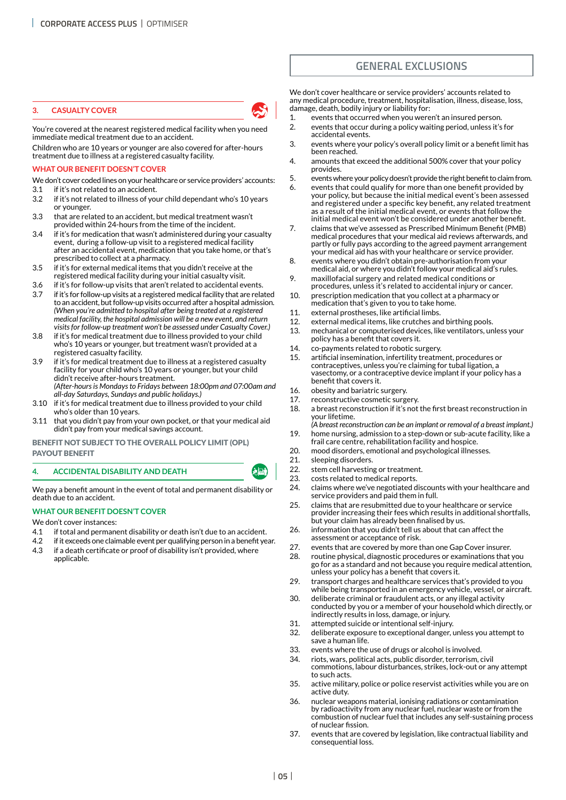#### **3. CASUALTY COVER**

You're covered at the nearest registered medical facility when you need immediate medical treatment due to an accident.

Children who are 10 years or younger are also covered for after-hours treatment due to illness at a registered casualty facility.

#### **WHAT OUR BENEFIT DOESN'T COVER**

We don't cover coded lines on your healthcare or service providers' accounts:

- 3.1 if it's not related to an accident.
- 3.2 if it's not related to illness of your child dependant who's 10 years or younger.
- 3.3 that are related to an accident, but medical treatment wasn't provided within 24-hours from the time of the incident.
- 3.4 if it's for medication that wasn't administered during your casualty event, during a follow-up visit to a registered medical facility after an accidental event, medication that you take home, or that's prescribed to collect at a pharmacy.
- 3.5 if it's for external medical items that you didn't receive at the registered medical facility during your initial casualty visit.
- 3.6 if it's for follow-up visits that aren't related to accidental events.
- 3.7 if it's for follow-up visits at a registered medical facility that are related to an accident, but follow-up visits occurred after a hospital admission. *(When you're admitted to hospital after being treated at a registered medical facility, the hospital admission will be a new event, and return visits for follow-up treatment won't be assessed under Casualty Cover.)*
- 3.8 if it's for medical treatment due to illness provided to your child who's 10 years or younger, but treatment wasn't provided at a registered casualty facility.
- 3.9 if it's for medical treatment due to illness at a registered casualty facility for your child who's 10 years or younger, but your child didn't receive after-hours treatment. *(After-hours is Mondays to Fridays between 18:00pm and 07:00am and all-day Saturdays, Sundays and public holidays.)*
- 3.10 if it's for medical treatment due to illness provided to your child who's older than 10 years.
- 3.11 that you didn't pay from your own pocket, or that your medical aid didn't pay from your medical savings account.

BENEFIT NOT SUBJECT TO THE OVERALL POLICY LIMIT (OPL) PAYOUT BENEFIT

#### **4. ACCIDENTAL DISABILITY AND DEATH**

We pay a benefit amount in the event of total and permanent disability or death due to an accident.

#### **WHAT OUR BENEFIT DOESN'T COVER**

We don't cover instances:

- 4.1 if total and permanent disability or death isn't due to an accident.
- 4.2 if it exceeds one claimable event per qualifying person in a benefit year.
- 4.3 if a death certificate or proof of disability isn't provided, where applicable.

## **GENERAL EXCLUSIONS**

We don't cover healthcare or service providers' accounts related to any medical procedure, treatment, hospitalisation, illness, disease, loss, damage, death, bodily injury or liability for:

- 1. events that occurred when you weren't an insured person. 2. events that occur during a policy waiting period, unless it's for accidental events.
- 3. events where your policy's overall policy limit or a benefit limit has been reached.
- 4. amounts that exceed the additional 500% cover that your policy provides.
- 5. events where your policy doesn't provide the right benefit to claim from.
- 6. events that could qualify for more than one benefit provided by your policy, but because the initial medical event's been assessed and registered under a specific key benefit, any related treatment as a result of the initial medical event, or events that follow the initial medical event won't be considered under another benefit.
- 7. claims that we've assessed as Prescribed Minimum Benefit (PMB) medical procedures that your medical aid reviews afterwards, and partly or fully pays according to the agreed payment arrangement your medical aid has with your healthcare or service provider.
- 8. events where you didn't obtain pre-authorisation from your medical aid, or where you didn't follow your medical aid's rules.
- 9. maxillofacial surgery and related medical conditions or procedures, unless it's related to accidental injury or cancer.
- 10. prescription medication that you collect at a pharmacy or medication that's given to you to take home.
- 11. external prostheses, like artificial limbs.
- 12. external medical items, like crutches and birthing pools.
- 13. mechanical or computerised devices, like ventilators, unless your policy has a benefit that covers it.
- 14. co-payments related to robotic surgery.
- 15. artificial insemination, infertility treatment, procedures or contraceptives, unless you're claiming for tubal ligation, a vasectomy, or a contraceptive device implant if your policy has a benefit that covers it.
- 16. obesity and bariatric surgery.
- 17. reconstructive cosmetic surgery.
- 18. a breast reconstruction if it's not the first breast reconstruction in your lifetime.
- *(A breast reconstruction can be an implant or removal of a breast implant.)* 19. home nursing, admission to a step-down or sub-acute facility, like a frail care centre, rehabilitation facility and hospice.
- 20. mood disorders, emotional and psychological illnesses.
- 21. sleeping disorders.

لطاء

- 22. stem cell harvesting or treatment.
- 23. costs related to medical reports
- 24. claims where we've negotiated discounts with your healthcare and service providers and paid them in full.
- 25. claims that are resubmitted due to your healthcare or service provider increasing their fees which results in additional shortfalls, but your claim has already been finalised by us.
- 26. information that you didn't tell us about that can affect the assessment or acceptance of risk.
- 27. events that are covered by more than one Gap Cover insurer.
- 28. routine physical, diagnostic procedures or examinations that you go for as a standard and not because you require medical attention, unless your policy has a benefit that covers it.
- 29. transport charges and healthcare services that's provided to you while being transported in an emergency vehicle, vessel, or aircraft.
- 30. deliberate criminal or fraudulent acts, or any illegal activity conducted by you or a member of your household which directly, or indirectly results in loss, damage, or injury.
- 31. attempted suicide or intentional self-injury.
- 32. deliberate exposure to exceptional danger, unless you attempt to save a human life.
- 33. events where the use of drugs or alcohol is involved.
- 34. riots, wars, political acts, public disorder, terrorism, civil commotions, labour disturbances, strikes, lock-out or any attempt to such acts.
- 35. active military, police or police reservist activities while you are on active duty.
- 36. nuclear weapons material, ionising radiations or contamination by radioactivity from any nuclear fuel, nuclear waste or from the combustion of nuclear fuel that includes any self-sustaining process of nuclear fission.
- 37. events that are covered by legislation, like contractual liability and consequential loss.

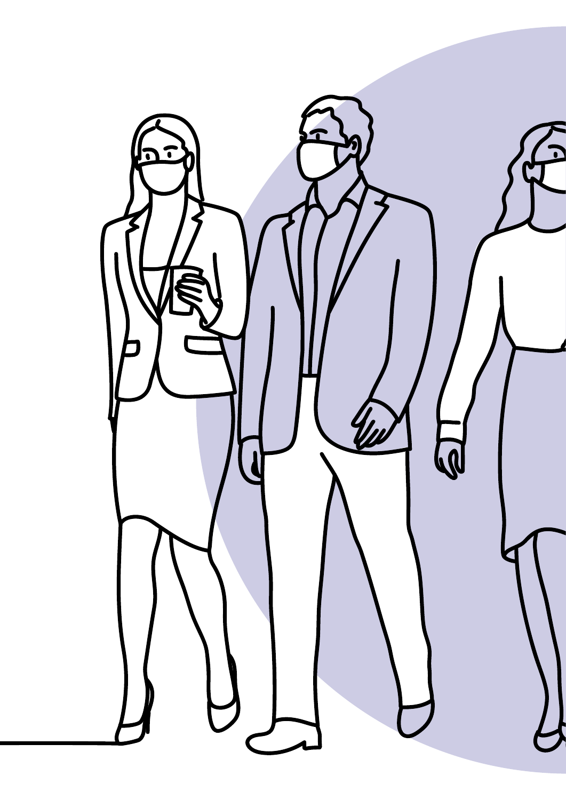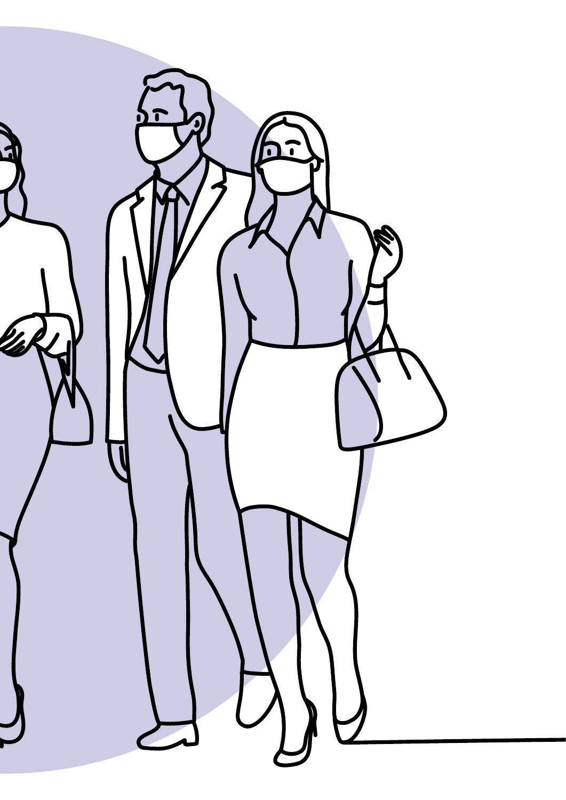